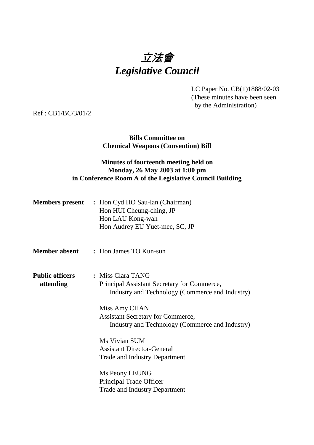# 立法會 *Legislative Council*

LC Paper No. CB(1)1888/02-03 (These minutes have been seen by the Administration)

Ref : CB1/BC/3/01/2

#### **Bills Committee on Chemical Weapons (Convention) Bill**

### **Minutes of fourteenth meeting held on Monday, 26 May 2003 at 1:00 pm in Conference Room A of the Legislative Council Building**

| <b>Members present</b> | : Hon Cyd HO Sau-lan (Chairman) |
|------------------------|---------------------------------|
|                        | Hon HUI Cheung-ching, JP        |
|                        | Hon LAU Kong-wah                |
|                        | Hon Audrey EU Yuet-mee, SC, JP  |

- **Member absent :** Hon James TO Kun-sun
- **Public officers :** Miss Clara TANG **attending** Principal Assistant Secretary for Commerce, Industry and Technology (Commerce and Industry)

Miss Amy CHAN Assistant Secretary for Commerce, Industry and Technology (Commerce and Industry)

Ms Vivian SUM Assistant Director-General Trade and Industry Department

Ms Peony LEUNG Principal Trade Officer Trade and Industry Department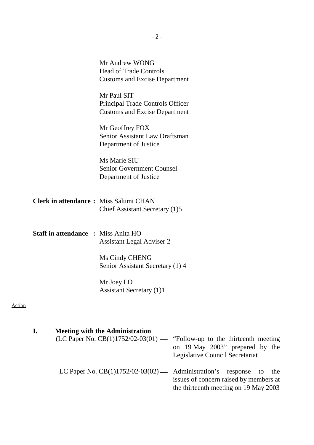|                                              | Mr Andrew WONG<br><b>Head of Trade Controls</b><br><b>Customs and Excise Department</b> |
|----------------------------------------------|-----------------------------------------------------------------------------------------|
|                                              | Mr Paul SIT<br>Principal Trade Controls Officer<br><b>Customs and Excise Department</b> |
|                                              | Mr Geoffrey FOX<br><b>Senior Assistant Law Draftsman</b><br>Department of Justice       |
|                                              | Ms Marie SIU<br><b>Senior Government Counsel</b><br>Department of Justice               |
| <b>Clerk in attendance:</b> Miss Salumi CHAN | Chief Assistant Secretary (1)5                                                          |
| <b>Staff in attendance : Miss Anita HO</b>   | <b>Assistant Legal Adviser 2</b>                                                        |
|                                              | Ms Cindy CHENG<br>Senior Assistant Secretary (1) 4                                      |
|                                              | Mr Joey LO<br><b>Assistant Secretary (1)1</b>                                           |

Action

| I. | <b>Meeting with the Administration</b><br>(LC Paper No. CB(1)1752/02-03(01) — "Follow-up to the thirteenth meeting | on 19 May 2003" prepared by the<br>Legislative Council Secretariat              |
|----|--------------------------------------------------------------------------------------------------------------------|---------------------------------------------------------------------------------|
|    | LC Paper No. $CB(1)1752/02-03(02)$ Administration's response to the                                                | issues of concern raised by members at<br>the thirteenth meeting on 19 May 2003 |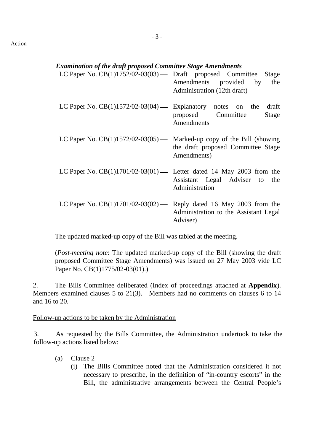#### *Examination of the draft proposed Committee Stage Amendments*

| LC Paper No. CB(1)1752/02-03(03) — Draft proposed Committee Stage        | Amendments provided by the<br>Administration (12th draft) |
|--------------------------------------------------------------------------|-----------------------------------------------------------|
| LC Paper No. $CB(1)1572/02-03(04)$ — Explanatory notes on the            | draft<br>proposed Committee<br>Stage<br>Amendments        |
| LC Paper No. $CB(1)1572/02-03(05)$ — Marked-up copy of the Bill (showing | the draft proposed Committee Stage<br>Amendments)         |
| LC Paper No. $CB(1)1701/02-03(01)$ Letter dated 14 May 2003 from the     | Assistant Legal Adviser to the<br>Administration          |
| LC Paper No. $CB(1)1701/02-03(02)$ - Reply dated 16 May 2003 from the    | Administration to the Assistant Legal<br>Adviser)         |

The updated marked-up copy of the Bill was tabled at the meeting.

(*Post-meeting note*: The updated marked-up copy of the Bill (showing the draft proposed Committee Stage Amendments) was issued on 27 May 2003 vide LC Paper No. CB(1)1775/02-03(01).)

2. The Bills Committee deliberated (Index of proceedings attached at **Appendix**). Members examined clauses 5 to 21(3). Members had no comments on clauses 6 to 14 and 16 to 20.

#### Follow-up actions to be taken by the Administration

3. As requested by the Bills Committee, the Administration undertook to take the follow-up actions listed below:

- (a) Clause 2
	- (i) The Bills Committee noted that the Administration considered it not necessary to prescribe, in the definition of "in-country escorts" in the Bill, the administrative arrangements between the Central People's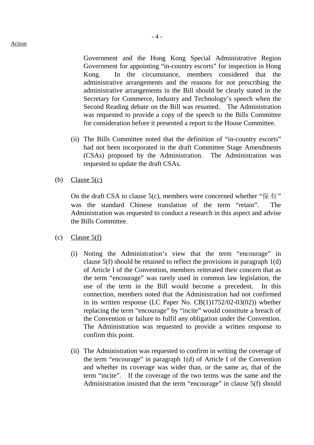Government and the Hong Kong Special Administrative Region Government for appointing "in-country escorts" for inspection in Hong Kong. In the circumstance, members considered that the administrative arrangements and the reasons for not prescribing the administrative arrangements in the Bill should be clearly stated in the Secretary for Commerce, Industry and Technology's speech when the Second Reading debate on the Bill was resumed. The Administration was requested to provide a copy of the speech to the Bills Committee for consideration before it presented a report to the House Committee.

- (ii) The Bills Committee noted that the definition of "in-country escorts" had not been incorporated in the draft Committee Stage Amendments (CSAs) proposed by the Administration. The Administration was requested to update the draft CSAs.
- (b) Clause  $5(c)$

On the draft CSA to clause 5(c), members were concerned whether " $\mathbb{R}$   $\overline{F}$ " was the standard Chinese translation of the term "retain". The Administration was requested to conduct a research in this aspect and advise the Bills Committee.

- $(c)$  Clause  $5(f)$ 
	- (i) Noting the Administration's view that the term "encourage" in clause 5(f) should be retained to reflect the provisions in paragraph 1(d) of Article I of the Convention, members reiterated their concern that as the term "encourage" was rarely used in common law legislation, the use of the term in the Bill would become a precedent. In this connection, members noted that the Administration had not confirmed in its written response (LC Paper No. CB(1)1752/02-03(02)) whether replacing the term "encourage" by "incite" would constitute a breach of the Convention or failure to fulfil any obligation under the Convention. The Administration was requested to provide a written response to confirm this point.
	- (ii) The Administration was requested to confirm in writing the coverage of the term "encourage" in paragraph 1(d) of Article I of the Convention and whether its coverage was wider than, or the same as, that of the term "incite". If the coverage of the two terms was the same and the Administration insisted that the term "encourage" in clause 5(f) should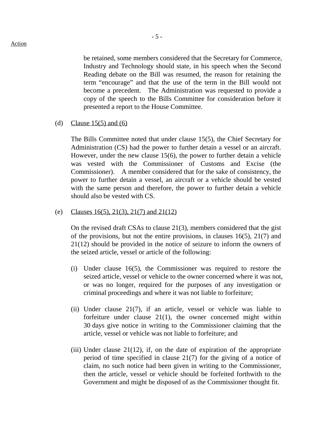be retained, some members considered that the Secretary for Commerce, Industry and Technology should state, in his speech when the Second Reading debate on the Bill was resumed, the reason for retaining the term "encourage" and that the use of the term in the Bill would not become a precedent. The Administration was requested to provide a copy of the speech to the Bills Committee for consideration before it presented a report to the House Committee.

#### (d) Clause 15(5) and (6)

The Bills Committee noted that under clause 15(5), the Chief Secretary for Administration (CS) had the power to further detain a vessel or an aircraft. However, under the new clause 15(6), the power to further detain a vehicle was vested with the Commissioner of Customs and Excise (the Commissioner). A member considered that for the sake of consistency, the power to further detain a vessel, an aircraft or a vehicle should be vested with the same person and therefore, the power to further detain a vehicle should also be vested with CS.

#### (e) Clauses 16(5), 21(3), 21(7) and 21(12)

On the revised draft CSAs to clause 21(3), members considered that the gist of the provisions, but not the entire provisions, in clauses 16(5), 21(7) and 21(12) should be provided in the notice of seizure to inform the owners of the seized article, vessel or article of the following:

- (i) Under clause 16(5), the Commissioner was required to restore the seized article, vessel or vehicle to the owner concerned where it was not, or was no longer, required for the purposes of any investigation or criminal proceedings and where it was not liable to forfeiture;
- (ii) Under clause 21(7), if an article, vessel or vehicle was liable to forfeiture under clause 21(1), the owner concerned might within 30 days give notice in writing to the Commissioner claiming that the article, vessel or vehicle was not liable to forfeiture; and
- (iii) Under clause 21(12), if, on the date of expiration of the appropriate period of time specified in clause 21(7) for the giving of a notice of claim, no such notice had been given in writing to the Commissioner, then the article, vessel or vehicle should be forfeited forthwith to the Government and might be disposed of as the Commissioner thought fit.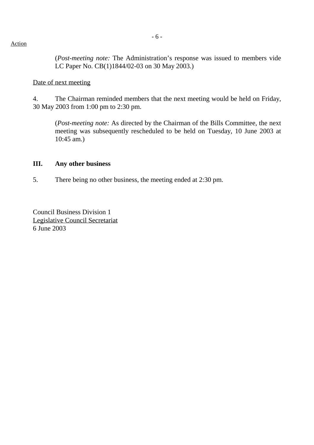(*Post-meeting note:* The Administration's response was issued to members vide LC Paper No. CB(1)1844/02-03 on 30 May 2003.)

#### Date of next meeting

4. The Chairman reminded members that the next meeting would be held on Friday, 30 May 2003 from 1:00 pm to 2:30 pm.

(*Post-meeting note:* As directed by the Chairman of the Bills Committee, the next meeting was subsequently rescheduled to be held on Tuesday, 10 June 2003 at 10:45 am.)

#### **III. Any other business**

5. There being no other business, the meeting ended at 2:30 pm.

Council Business Division 1 Legislative Council Secretariat 6 June 2003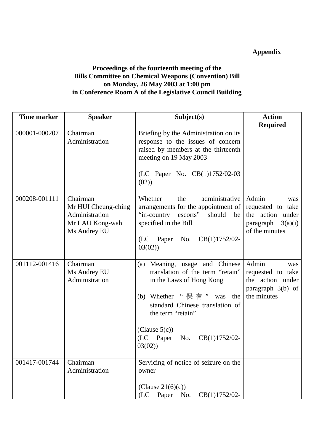# **Appendix**

## **Proceedings of the fourteenth meeting of the Bills Committee on Chemical Weapons (Convention) Bill on Monday, 26 May 2003 at 1:00 pm in Conference Room A of the Legislative Council Building**

| <b>Time marker</b> | <b>Speaker</b>                                                                       | Subject(s)                                                                                                                                                                                                                                                         | <b>Action</b>                                                                                   |
|--------------------|--------------------------------------------------------------------------------------|--------------------------------------------------------------------------------------------------------------------------------------------------------------------------------------------------------------------------------------------------------------------|-------------------------------------------------------------------------------------------------|
|                    |                                                                                      |                                                                                                                                                                                                                                                                    | <b>Required</b>                                                                                 |
| 000001-000207      | Chairman<br>Administration                                                           | Briefing by the Administration on its<br>response to the issues of concern<br>raised by members at the thirteenth<br>meeting on 19 May 2003<br>(LC Paper No. CB(1)1752/02-03<br>(02)                                                                               |                                                                                                 |
| 000208-001111      | Chairman<br>Mr HUI Cheung-ching<br>Administration<br>Mr LAU Kong-wah<br>Ms Audrey EU | administrative<br>Whether<br>the<br>arrangements for the appointment of<br>"in-country escorts" should<br>be<br>specified in the Bill<br>(LC Paper No. CB(1)1752/02-<br>03(02)                                                                                     | Admin<br>was<br>requested to take<br>the action under<br>3(a)(i)<br>paragraph<br>of the minutes |
| 001112-001416      | Chairman<br>Ms Audrey EU<br>Administration                                           | (a) Meaning, usage and Chinese<br>translation of the term "retain"<br>in the Laws of Hong Kong<br>(b) Whether " $\# \#$ " was<br>the<br>standard Chinese translation of<br>the term "retain"<br>(Clause $5(c)$ )<br>(LC Paper<br>No.<br>$CB(1)1752/02$ -<br>03(02) | Admin<br>was<br>requested to take<br>the action under<br>paragraph 3(b) of<br>the minutes       |
| 001417-001744      | Chairman<br>Administration                                                           | Servicing of notice of seizure on the<br>owner<br>(Clause $21(6)(c)$ )<br>Paper<br>No.<br>$CB(1)1752/02-$<br>(LC)                                                                                                                                                  |                                                                                                 |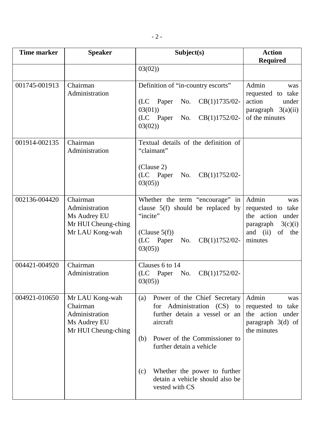| Time marker   | <b>Speaker</b>                                                                       | Subject(s)                                                                                                                                                                        | <b>Action</b><br><b>Required</b>                                                                                   |
|---------------|--------------------------------------------------------------------------------------|-----------------------------------------------------------------------------------------------------------------------------------------------------------------------------------|--------------------------------------------------------------------------------------------------------------------|
|               |                                                                                      | 03(02)                                                                                                                                                                            |                                                                                                                    |
| 001745-001913 | Chairman<br>Administration                                                           | Definition of "in-country escorts"<br>$CB(1)1735/02-$<br>No.<br>(LC Paper<br>03(01)<br>CB(1)1752/02-<br>(LC Paper<br>No.<br>03(02)                                                | Admin<br>was<br>requested to take<br>action<br>under<br>paragraph $3(a)(ii)$<br>of the minutes                     |
| 001914-002135 | Chairman<br>Administration                                                           | Textual details of the definition of<br>"claimant"<br>(Clause 2)<br>(LC Paper<br>$CB(1)1752/02-$<br>No.<br>03(05)                                                                 |                                                                                                                    |
| 002136-004420 | Chairman<br>Administration<br>Ms Audrey EU<br>Mr HUI Cheung-ching<br>Mr LAU Kong-wah | Whether the term "encourage" in<br>clause $5(f)$ should be replaced by<br>"incite"<br>(Clause $5(f)$ )<br>(LC Paper<br>CB(1)1752/02-<br>No.<br>03(05)                             | Admin<br>was<br>requested to take<br>the action<br>under<br>paragraph $3(c)(i)$<br>of the<br>and $(ii)$<br>minutes |
| 004421-004920 | Chairman<br>Administration                                                           | Clauses 6 to 14<br>(LC Paper<br>No.<br>$CB(1)1752/02-$<br>03(05)                                                                                                                  |                                                                                                                    |
| 004921-010650 | Mr LAU Kong-wah<br>Chairman<br>Administration<br>Ms Audrey EU<br>Mr HUI Cheung-ching | Power of the Chief Secretary<br>(a)<br>for Administration (CS) to<br>further detain a vessel or an<br>aircraft<br>Power of the Commissioner to<br>(b)<br>further detain a vehicle | Admin<br>was<br>requested to take<br>the action under<br>paragraph 3(d) of<br>the minutes                          |
|               |                                                                                      | Whether the power to further<br>(c)<br>detain a vehicle should also be<br>vested with CS                                                                                          |                                                                                                                    |